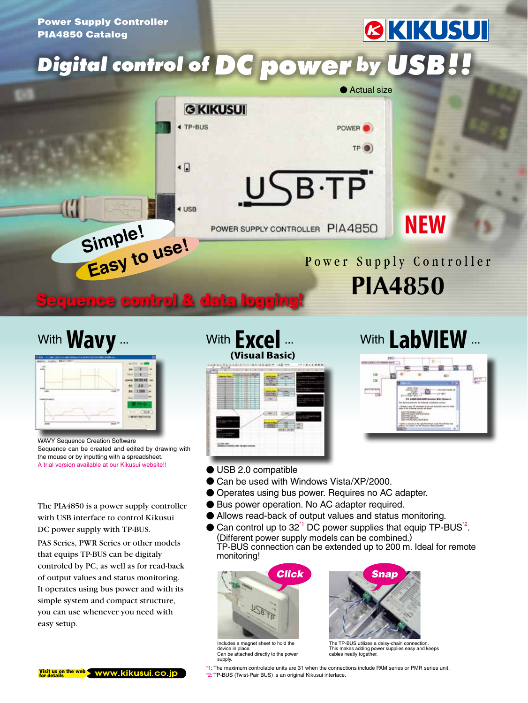

# With **Wavy** ...



WAVY Sequence Creation Software Sequence can be created and edited by drawing with the mouse or by inputting with a spreadsheet. A trial version available at our Kikusui website!!

The PIA4850 is a power supply controller with USB interface to control Kikusui DC power supply with TP-BUS.

PAS Series, PWR Series or other models that equips TP-BUS can be digitaly controled by PC, as well as for read-back of output values and status monitoring. It operates using bus power and with its simple system and compact structure, you can use whenever you need with easy setup.

### With **Excel (Visual Basic)**



## With LabVIEW ...



- USB 2.0 compatible
- Can be used with Windows Vista/XP/2000.
- Operates using bus power. Requires no AC adapter.
- Bus power operation. No AC adapter required.
- Allows read-back of output values and status monitoring.
- $\bullet$  Can control up to 32<sup>\*1</sup> DC power supplies that equip TP-BUS<sup>\*2</sup>. (Different power supply models can be combined.) TP-BUS connection can be extended up to 200 m. Ideal for remote monitoring!



Includes a magnet sheet to hold the device in place. Can be attached directly to the power supply.



The TP-BUS utilizes a daisy-chain connection. This makes adding power supplies easy and keeps cables neatly together.

 $V$  is it us on the web  $\blacktriangleright$  www.kikusui.co.jp

\*1: The maximum controlable units are 31 when the connections include PAM series or PMR series unit. \*2: TP-BUS (Twist-Pair BUS) is an original Kikusui interface.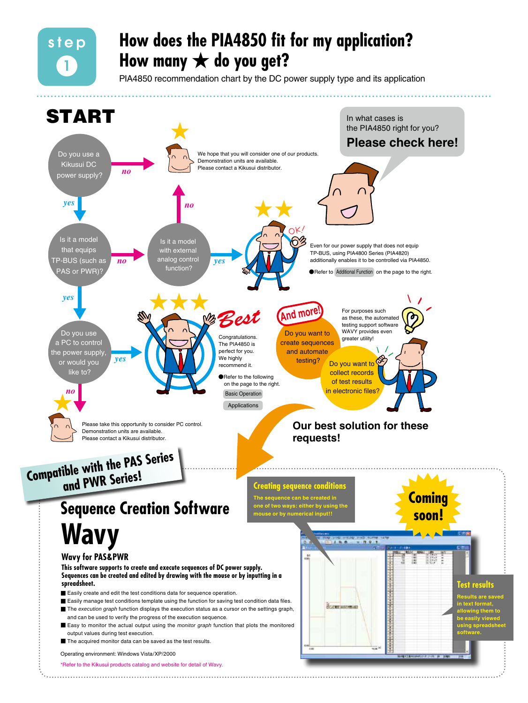### **How does the PIA4850 fit for my application? How many** ★ **do you get?**

step

1

PIA4850 recommendation chart by the DC power supply type and its application

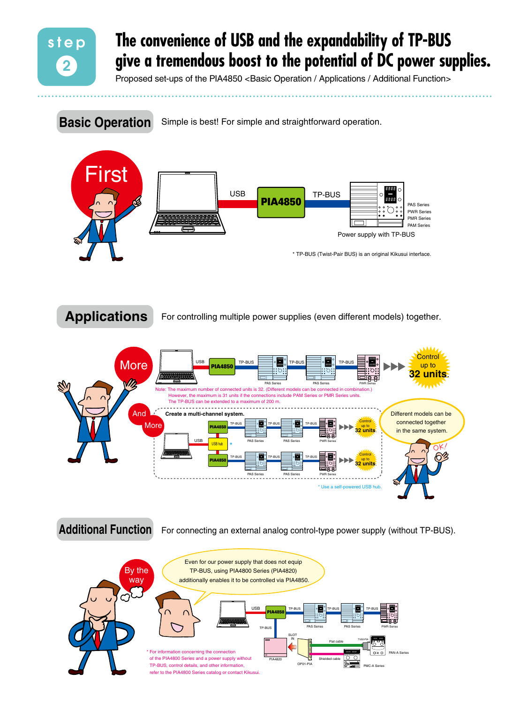

### **The convenience of USB and the expandability of TP-BUS give a tremendous boost to the potential of DC power supplies.**

Proposed set-ups of the PIA4850 <Basic Operation / Applications / Additional Function>

Simple is best! For simple and straightforward operation. **Basic Operation**



For controlling multiple power supplies (even different models) together. **Applications**



**Additional Function** For connecting an external analog control-type power supply (without TP-BUS).